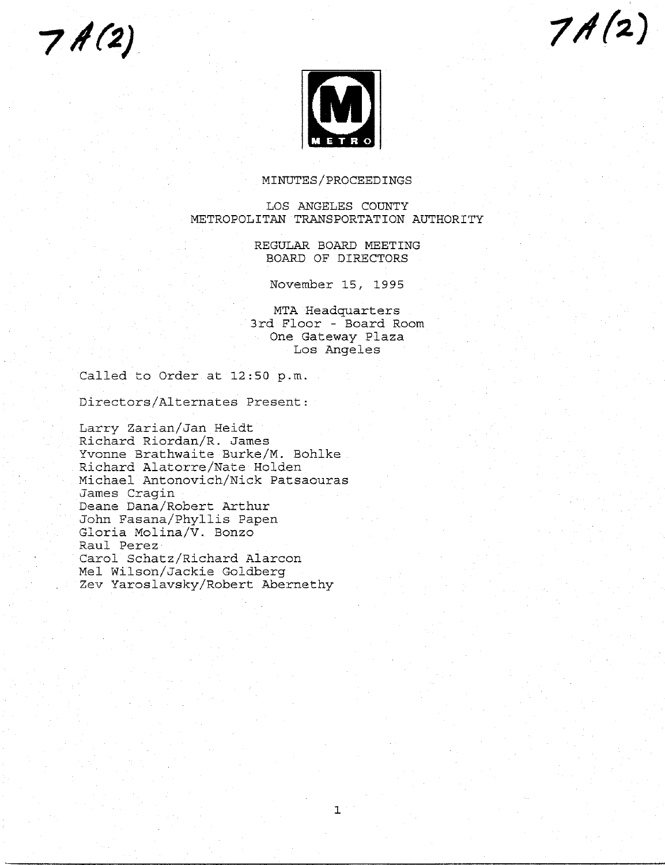$7A(2)$ 





# MINUTES/PROCEEDINGS

# LOS ANGELES COUNTY METROPOLITAN TRANSPORTATION AUTHORITY

REGULAR BOARD MEETING BOARD OF DIRECTORS

November 15, 1995

MTA Headquarters 3rd Floor - Board Room One Gateway Plaza Los Angeles

Called to Order at 12:50 p.m.

Directors/Alternates Present:

Larry Zarian/Jan Heidt Richard Riordan/R. James Yvonne Brathwaite Burke/M. Bohlke Richard Alatorre/Nate Holden Michael Antonovich/Nick Patsaouras James Cragin Deane Dana/Robert Arthur John Fasana/Phyllis Papen Gloria Molina/V. Bonzo Raul Perez Carol Schatz/Richard Alarcon Mel Wilson/Jackie Goldberg Zev Yaroslavsky/Robert Abernethy

 $\mathbf{1}$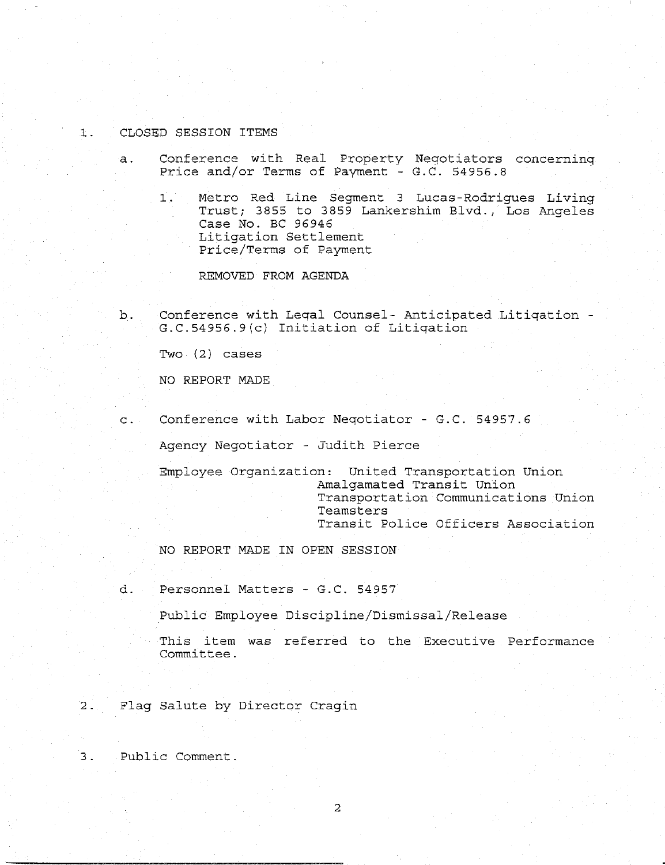#### CLOSED SESSION ITEMS  $\pm$ .

a. Conference with Real Property Neqotiators concerninq Price and/or Terms of Payment -  $G.C. 54956.8$ 

Metro Red Line Segment 3 Lucas-Rodrigues Living  $1$ . Trust; 3855 to 3859 Lankershim Blvd., Los Angeles Case No. BC 96946 Litigation Settlement Price/Terms of Payment

REMOVED FROM AGENDA

b. Conference with Legal Counsel- Anticipated Litigation - $G.C.54956.9(c)$  Initiation of Litigation

Two (2) cases

NO REPORT MADE

c. Conference with Labor Neqotiator - G.C. 54957.6

Agency Negotiator - Judith Pierce

Employee Organization: United Transportation Union Amalgamated Transit Union Transportation Communications Union Teamsters Transit Police Officers Association

NO REPORT MADE IN OPEN SESSION

d. Personnel Matters - G.C. 54957

Public Employee Discipline/Dismissal/Release

This item was referred to the Executive Performance Committee.

2. Flag Salute by Director Cragin

3. Public Comment.

2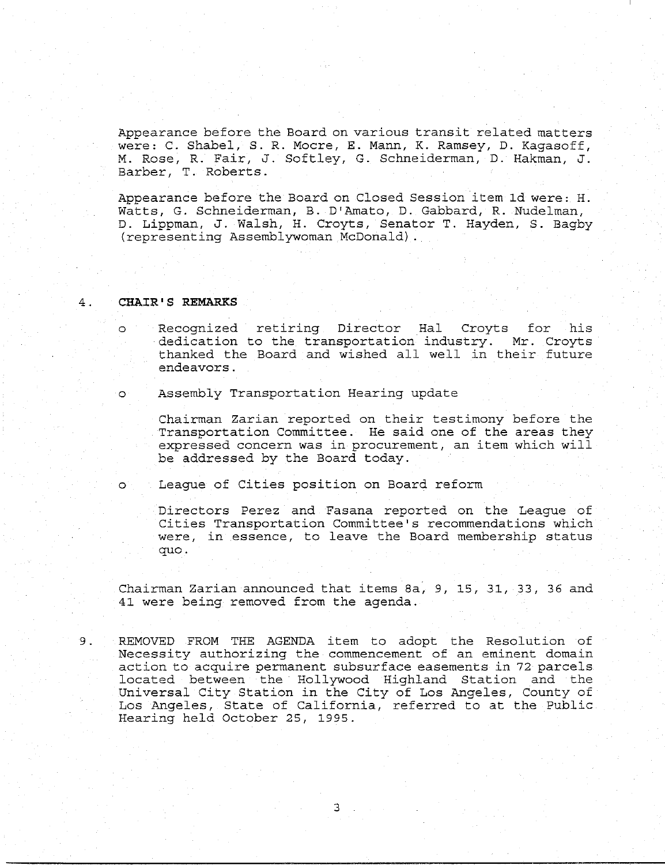Appearance before the Board on various transit related matters were: C. Shabel, S. R. Mocre, E. Mann, K. Ramsey, D. Kagasoff, M. Rose, R. Fair, J. Softley, G. Schneiderman, D. Hakman, J. Barber, T. Roberts.

Appearance before the Board on Closed Session item ld were: Watts, G. Schneiderman, B. D'Amato, D. Gabbard, R. Nudelman, D. Lippman, J. Walsh, H. Croyts, Senator T. Hayden, S. Bagby (representing Assemblywoman McDonald).

#### **CHAIR'S REMARKS**  $4.$

 $\circ$ 

Recognized retiring Director Hal Croyts for his dedication to the transportation industry. Mr. Croyts thanked the Board and wished all well in their future endeavors.

o Assembly Transportation Hearing update

Chairman Zarian reported on their testimony before the Transportation Committee. He said one of the areas they expressed concern was in procurement, an item which will be addressed by the Board today.

o League of Cities position on Board reform

Directors Perez and Easana reported on the League of Cities Transportation Committee's recommendations which were, in essence, to leave the Board membership status quo.

Chairman Zarian announced that items 8a, 9, 15, 31, 33, 36 and 41 were being removed from the agenda.

9. REMOVED FROM THE AGENDA item to adopt the Resolution of Necessity authorizing the commencement of an eminent domain action to acquire permanent subsurface easements in 72 parcels located between the Hollywood Highland Station and the Universal City Station in the City of Los Angeles, County of Los Angeles, State of California, referred to at the Public Hearing held October 25, 1995.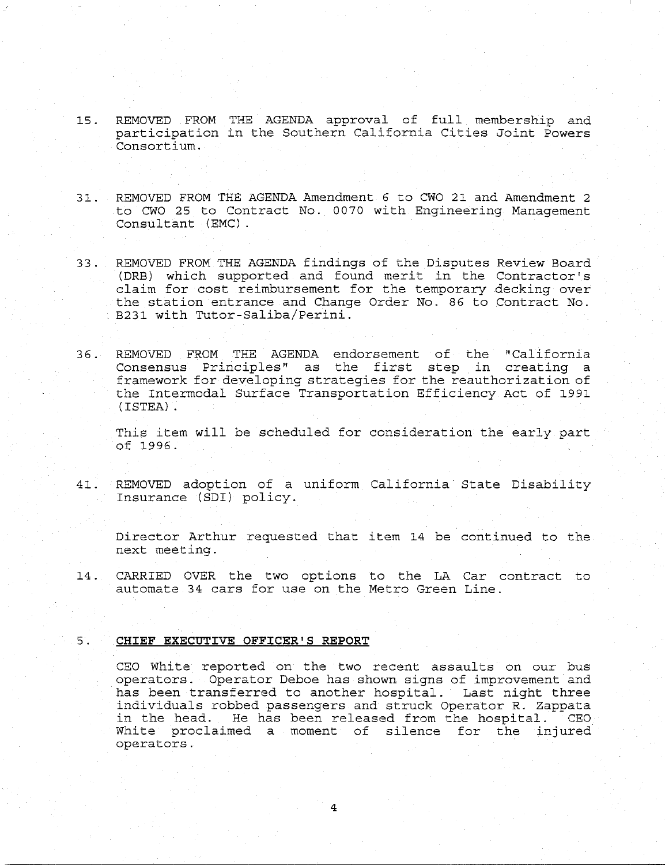- 15. REMOVED FROM THE AGENDA approval of full membership and participation in the Southern California Cities Joint Powers Consortium.
- 31. REMOVED FROM THE AGENDA Amendment 6 to CWO 21 and Amendment 2 to CWO 25 to Contract No. 0070 with Engineering Management Consultant (EMC)
- 33. REMOVED FROM THE AGENDA findings of the Disputes Review Board (DRB) which supporzed and found merit in the Contractor's claim for cost reimbursement for the temporary decking over the station entrance and Change Order No. 86 to Contract No. B231 with Tutor-Saliba/Perini.
- 36. REMOVED FROM THE AGENDA endorsement of the "California Consensus Principles" as the first step in creating a framework for developing strategies for the reauthorization of the Intermodal Surface Transportation Efficiency Act of 1991 (ISTEA).

This item will be scheduled for consideration the early part of 1996.

41. REMOVED adoption of a uniform California State Disability Insurance (SDI) policy.

Director Arthur requested that item 14 be continued to the next meeting.

14. CARRIED OVER the two options to the LA Car contract to automate 34 cars for use on the Metro Green Line.

#### **CHIEF EXECUTIVE OFFICER'S REPORT**  $5.$

CEO White reported on the two recent assaults on our bus operators. Operator Deboe has shown signs of improvement and has been transferred to another hospital. Last night three individuals robbed passengers and struck Operator R. Zappata in the head. He has been released from the hospital. CEO White proclaimed a moment of silence for the injured operators.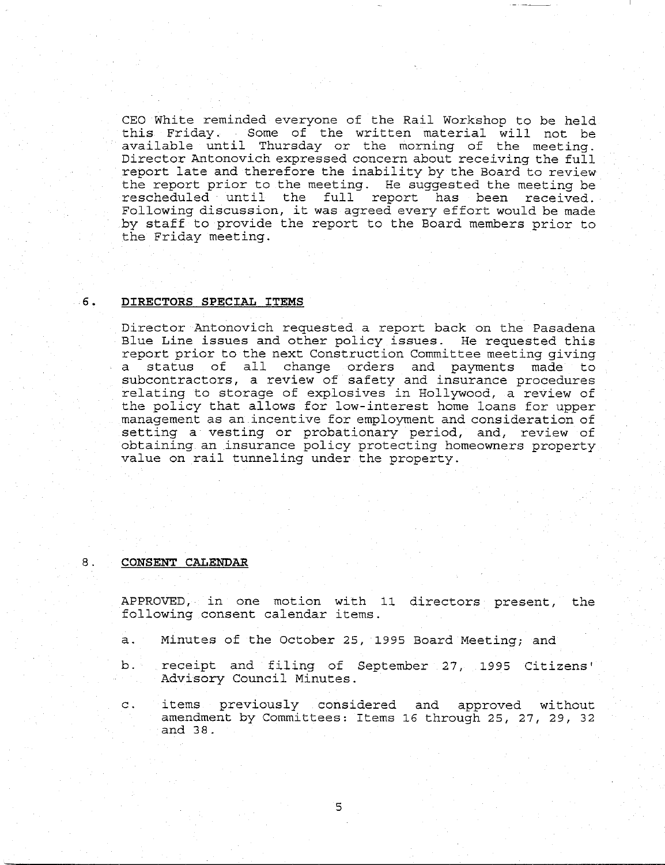CEO White reminded everyone of the Rail Workshop co be held this Friday. Some of the written material will not be available until Thursday or the morning of the meeting. Director Antonovich expressed concern about receiving the full report late and therefore the inability by the Board to revlew the report prior to the meeting. He suggested the meeting be rescheduled until the full report has been received. Following discussion, it was agreed every effort would be made by staff to provide the report to the Board members prior to the Friday meeting.

#### **DIRECTORS SPECIAL ITEMS**  $6.$

Director Antonovich requested a report back on the Pasadena Blue Line issues and other policy issues. He requested this report prior to the next Construction Committee meeting giving a status of all change orders and payments made to subcontractors, a review of safety and insurance procedures relating to storage of explosives in Hollywood, a review of the policy that allows for low-interest home loans for upper management as an incentive for employment and consideration of setting a vesting or probationary period, and, review of obtaining an insurance policy protecting homeowners property value on rail tunneling under the property.

### 8. **CONSENT CALENDAR**

APPROVED, in one motion with ii directors present, the following consent calendar items.

- a. Minutes of the October 25, 1995 Board Meeting; and
- b. receipt and filing of September 27, 1995 Citizens' Advisory Council Minutes.
- c. items previously considered and approved without amendment by Committees: Items 16 through 25, 27, 29, 32 and 38.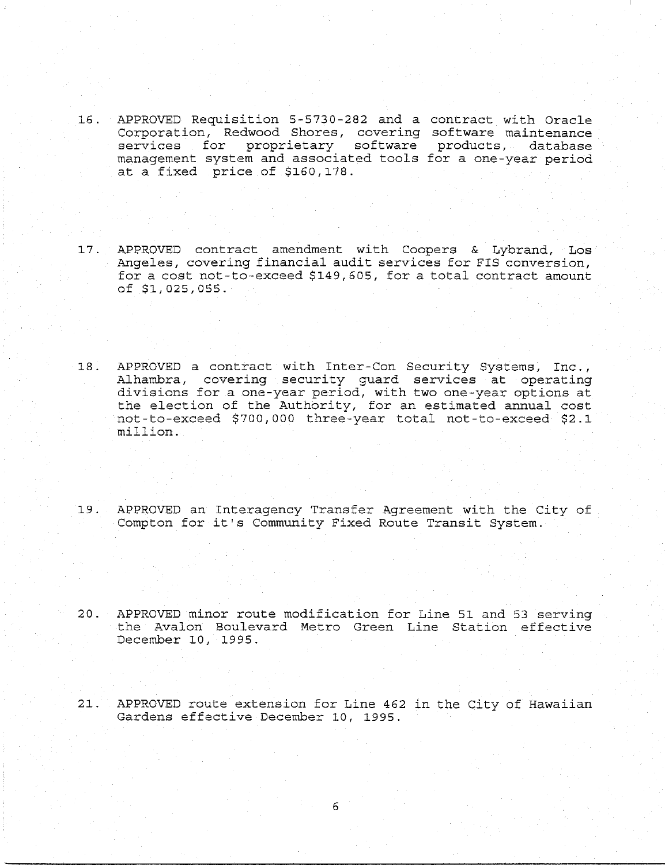- 16. APPROVED Requisition 5-5730-282 and a contract with Oracle Corporation, Redwood Shores, covering software maintenance services for proprietary software products, database management system and associated tools for a one-year period at a fixed price of \$160,178.
- 17. APPROVED contract amendment with Coopers & Lybrand, Los Angeles, covering financial audit services for FIS conversion, for a cost not-to-exceed \$149,605, for a total contract amount of \$1,025,055.
- 18. APPROVED a contract with Inter-Con Security Systems, Inc., Alhambra, covering security guard services at operating divisions for a one-year period, with two one-year options at the election of the Authority, for an estimated annual cost not-to-exceed \$700,000 three-year total not-to-exceed \$2.1 million.
- 19. APPROVED an Interagency Transfer Agreement with the City of Compton for it's Community Fixed Route Transit System.
- 20. APPROVED minor route modification for Line 51 and 53 serving the Avalon Boulevard Metro Green Line Station effective December 10, 1995.
- 21. APPROVED route extension for Line 462 in the City of Hawaiian Gardens effective December I0, 1995.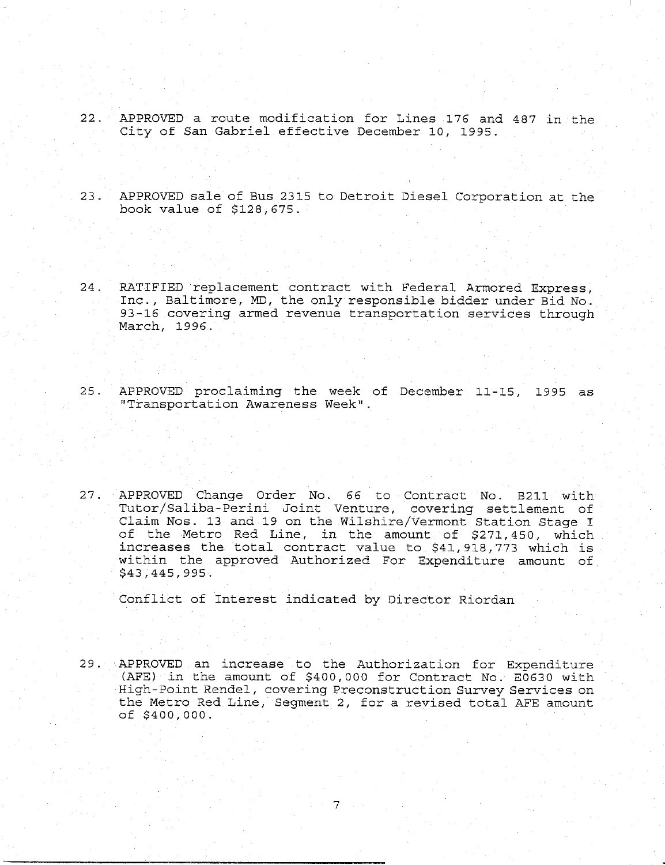- 22. APPROVED a route modification for Lines 176 and 487 in the City of San Gabriel effective December 10, 1995.
- 23. APPROVED sale of Bus 2315 to Detroit Diesel Corporation at the book value of \$128,675.
- 24. RATIFIED replacement contract with Federal Armored Express, Inc., Baltimore, MD, the only responsible bidder under Bid No. 93-16 covering armed revenue transportation services through March, 1996.
- 25. APPROVED proclaiming the week of December 11-15, 1995 as "Transportation Awareness Week"
- 27. APPROVED Change Order No. 66 to Contract No. B211 wit Tutor/Saliba-Perini Joint Venture, covering settlement of Claim Nos. 13 and 19 on the Wilshire/Vermont Station Stage I of the Metro Red Line, in the amount of \$271,450, which increases the total contract value to \$41,918,773 which is within the approved Authorized For Expenditure amount of \$43,445,995.

Conflict of Interest indicated by Director Riordan

29. APPROVED an increase to the Authorization for Expenditure (AFE) in the amount of \$400,000 for Contract No. E0630 with High-Point Rendel, covering Preconstruction Survey Servlces on the Metro Red Line, Segment 2, for a revised total AFE amount of \$400,000.

 $7<sup>1</sup>$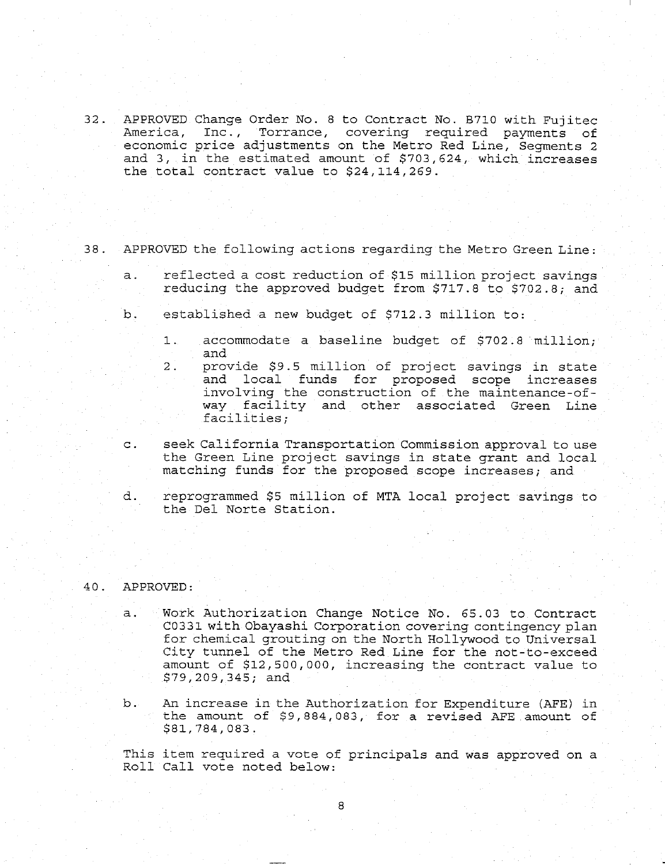- 32. APPROVED Change Order No. 8 to Contract No. B710 with Fujitec America, Inc., Torrance, covering required payments of economic price adjustments on the Metro Red Line, Segments 2 and 3, in the estimated amount of \$703,624, which increases the total contract value to  $$24,114,269$ .
- 38. APPROVED the following actions regarding the Metro Green Line:
	- a. reflected a cost reduction of \$15 million project savings reducing the approved budget from \$717.8 to \$702.8; and
	- b. established a new budget of \$712.3 million to:
		- $1$ . accommodate a baseline budget of \$702.8 million; and
		- $2.$ provide S9.5 million of project savings in state and local funds for proposed scope increases involving the construction of the maintenance-ofway facility and other associated Green Line facilities;
	- c. seek California Transportation Commission approval to use the Green Line project savings in state grant and local matching funds for the proposed scope increases; and
	- d. reprogrammed \$5 million of MTA local project savings to the Dei Norte Station.

### 40. APPROVED:

- a. Work Authorization Change Notice No. 65.03 to Contract C033! with Obayashi Corporation covering contingency plan for chemical grouting on the North Hollywood to Universal City tunnel of the Metro Red Line for the not-to-exceed amount of \$12,500,000, increasing the contract value to \$79,209,345; and
- b. An increase in the Authorization for Expenditure (AFE) in the amount of \$9,884,083, for a revised AFE amount of \$81,784,083.

This item required a vote of principals and was approved on a Roll Call vote noted below: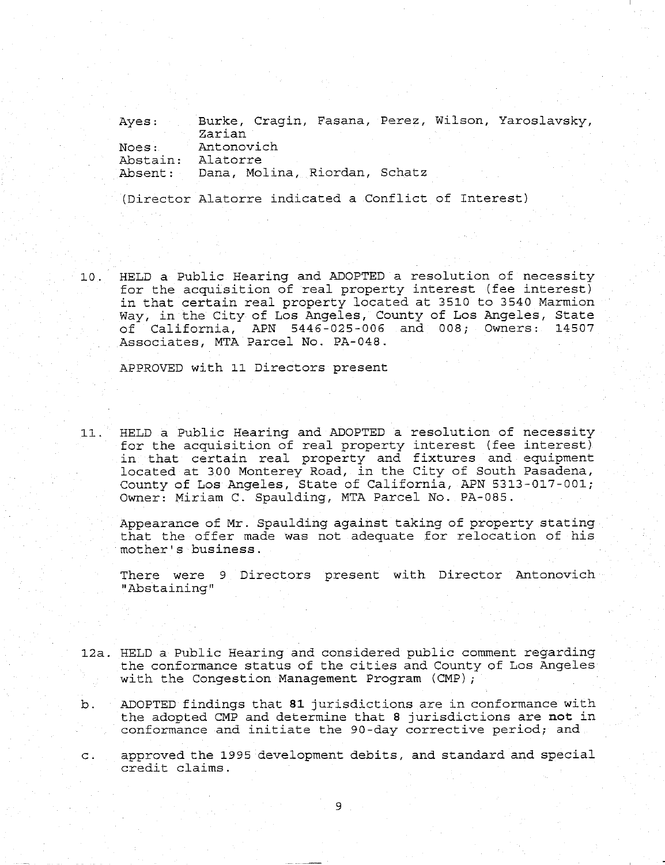Ayes: Noes: Abstain: Absent: Burke, Cragin, Fasana, Perez, Wilson, Yaroslavsky, Zarian Antonovich Alatorre Dana, Molina, Riordan, Schatz

(Director Alatorre indicated a Conflict of Interest)

i0. HELD a Public Hearing and ADOPTED a resolution of necessity for the acquisition of real property interest (fee interest) in that certain real property located at 3510 to 3540 Marmion Way, in the City of Los Angeles, County of Los Angeles, State of California, APN 5446-025-006 and 008; Owners: 14507 Associates, MTA Parcel No. PA-048.

APPROVED with ii Directors present

11. HELD a Public Hearing and ADOPTED a resolution of necessit for the acquisition of real property interest (fee interes in that certain real property and fixtures and equipme located at 300 Monterey Road, in the City of South Pasadena, County of Los Angeles, State of California, APN 5313-017-001; Owner: Miriam C. Spaulding, MTA Parcel No. PA-085.

Appearance of Mr. Spaulding against taking of property stating that the offer made was not adequate for relocation of his mother's business.

There were 9 Directors present with Director Antonovich "Abstaining"

- 12a. HELD a Public Hearing and considered public comment regarding the conformance status of the cities and County of Los Angeles with the Congestion Management Program (CMP);
- ADOPTED findings that 81 jurisdictions are in conformance with b. the adopted CMP and determine that 8 jurisdictions are not in conformance and initiate the 90-day corrective period; and
- approved the 1995 development debits, and standard and special  $C = \begin{bmatrix} 1 & 1 \\ 1 & 1 \end{bmatrix}$ credit claims.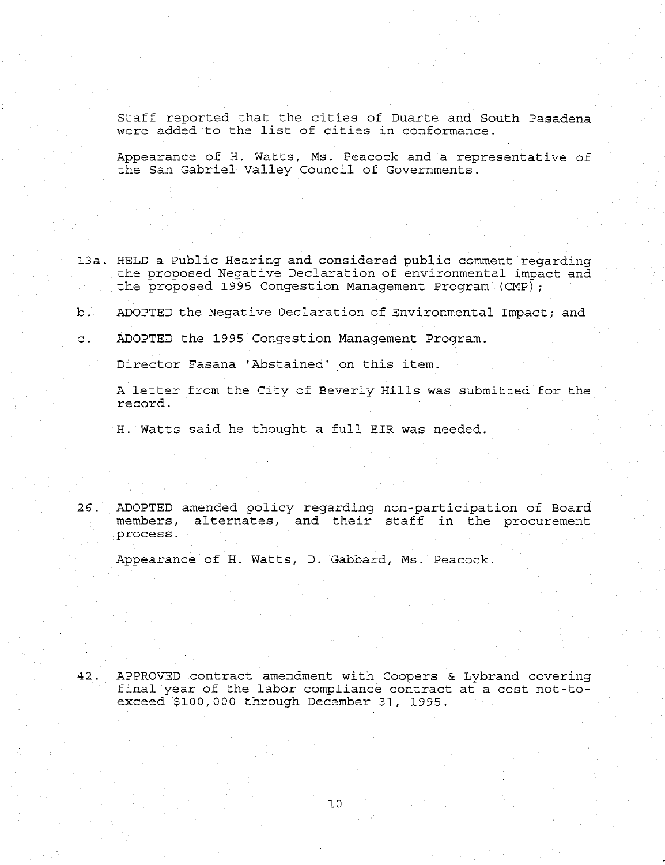Staff reported that the cities of Duarte and South Pasadena were added to the list of cities in conformance.

Appearance of H. Watts, Ms. Peacock and a representative of the San Gabriel Valley Council of Governments.

- 13a. HELD a Public Hearing and considered public comment regarding the proposed Negative Declaration of environmental impact and the proposed 1995 Congestion Management Program (CMP)
- b. ADOPTED the Negative Declaration of Environmental Impact; and
- c. ADOPTED the 1995 Congestion Management Program.

Director Fasana 'Abstained' on this item.

A letter from the City of Beverly Hills was submitted for the record.

H. Watts said he thought a full EIR was needed.

26. ADOPTED amended policy regarding non-participation of Board members, alternates, and their staff in the procurement process.

Appearance of H. Watts, D. Gabbard, Ms. Peacock.

 $42.$ APPROVED contract amendment with Coopers & Lybrand covering final year of the labor compliance contract at a cost not-toexceed \$i00,000 through December 31, 1995.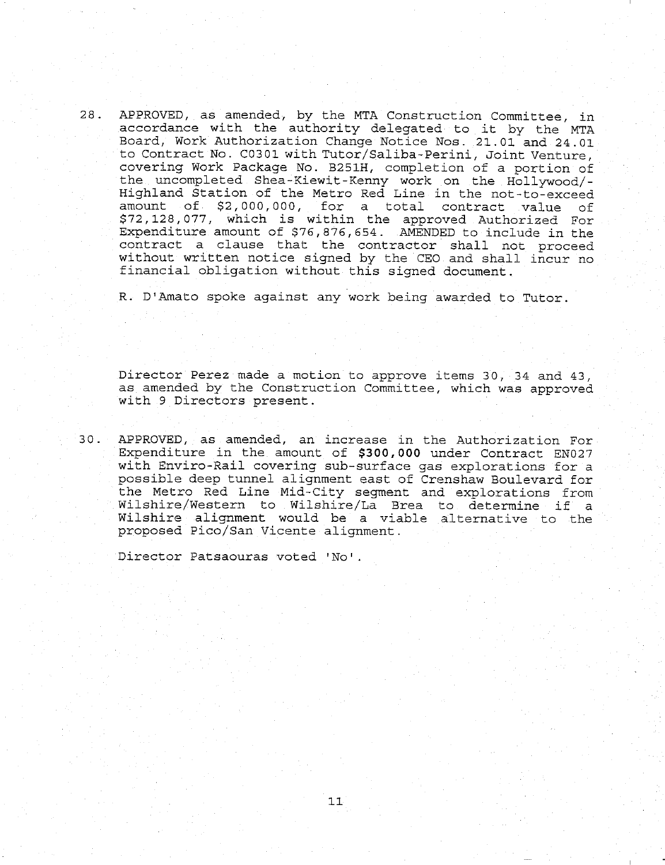28. APPROVED, as amended, by the MTA Construction Committee, in accordance with the authority delegated to it by the MTA Board, Work Authorization Change Notice Nos. 21.01 and 24.01 to Contract No. C0301 with Tutor/Saliba-Perini, Joint Venture, covering Work Package No. B251H, completion of a portion of the uncompleted Shea-Kiewit-Kenny work on the Hollywood/- Highland Station of the Metro Red Line in the not-to-exceed amount of \$2,000,000, for a total contract value of \$72,128,077, which is within the approved Authorized For Expenditure amount of  $$76,876,654$ . AMENDED to include in the contract a clause that the contractor shall not proceed without written notice signed by the CEO and shall incur no financial obligation without this signed document.

R. D'Amato spoke against any work being awarded to Tutor.

Director Perez made a motion to approve items 30, 34 and 43, as amended by the Construction Committee, which was approved with 9 Directors present.

30. APPROVED, as amended, an increase in the Authorization For Expenditure in the amount of \$300,000 under Contract EN027 with Envirc-Rail covering sub-surface gas explorations for a possible deep tunnel alignment east of Crenshaw Boulevard for the Metro Red Line Mid-City segment and explorations from Wilshire/Western to Wilshire/La Brea to determine if a Wilshire alignment would be a viable alternative to the proposed Pico/San Vicente alignment.

Director Patsaouras voted 'No'

 $11$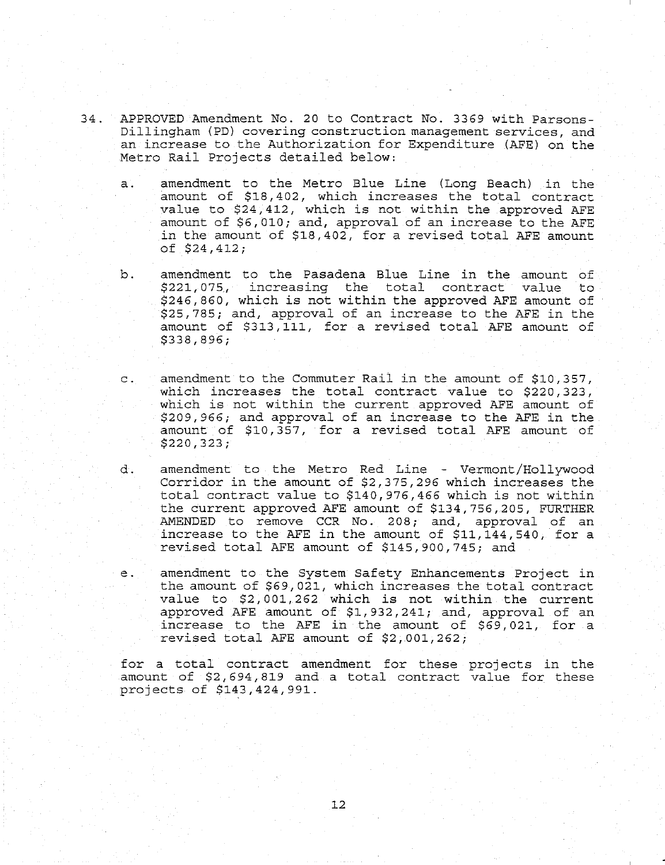- 34. APPROVED Amendment No. 20 to Contract No. 3369 with Parsons-Dillingham (PD) covering construction management services, and an increase co the Authorization for Expenditure (AFE) on the Metro Rail Projects detailed below:
	- a. amendment to the Metro Blue Line (Long Beach) in the amount of S18,402, which increases the total contract value co \$24,412, which is not within the approved AFE amount of \$6,010; and, approval of an increase to the AFE in the amount of \$18,402, for a revised total AFE amount of \$24,412;
	- b. amendment to the Pasadena Blue Line in the amount of \$221,075, increasing the total contract value to \$246,860, which is not within the approved AFE amount of \$25,785; and, approval of an increase to the AFE in the amount of \$313,111, for a revised total AFE amount of \$338,896;
	- c. amendment to the Commuter Rail in the amount of \$10,357, which increases the total contract value to \$220,323, which is not within the current approved AFE amount of \$209,966; and approval of an increase co the AFE in the amount of \$10,357, for a revised total AFE amount of \$220,323;
	- d. amendment to the Metro Red Line Vermont/Hollywood Corridor in the amount of \$2,375,296 which increases the total contract value to \$140,976,466 which is not within the current approved AFE amount of \$134,756,205, FURTHER AMENDED to remove CCR No. 208; and, approval of an increase to the AFE in the amount of  $$11,144,540$ , for a revised total AFE amount of \$145,900,745; and
	- amendment co the System Safety Enhancements Project in е. the amount of \$69,021, which increases the total contract value to \$2,001,262 which is not within the current approved AFE amount of SI,932,241; and, approval of an increase to the AFE in the amount of \$69,021, for a revised total AFE amount of \$2,001,262;

for a total contract amendment for these projects in the amount of \$2,694,819 and a total contract value for these projects of S143,424,991.

12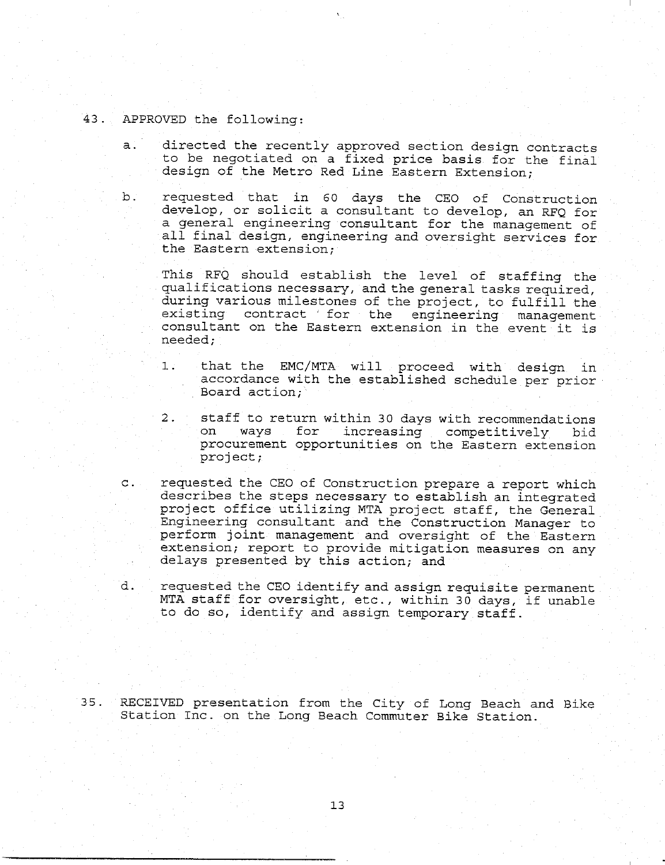# 43. APPROVED the following:

- directed the recently approved section design contracts  $\mathsf{a}$ : to be negotiated on a fixed price basis for the final design of the Metro Red Line Eastern Extension;
- b. requested that in 60 days the CEO of Construction develop, or solicit a consultant to develop, an RFQ for a general engineering consultant for the management of all final design, engineering and overslght services for the Eastern extension;

This RFQ should establish the level of staffing the qualifications necessary, and the general tasks required, during varlous milestones of the project, to fulfill the existing contract for the engineering management consultant on the Eastern extension in the event it is needed;

- that the EMC/MTA will proceed with design in  $1:$ accordance with the established schedule per prior Board action;
- 2. staff to return within 30 days with recommendations on ways for increasing competitively bid procurement opportunities on the Eastern extension project;
- requested the CEO of Construction prepare a report which  $\mathsf{C}$ . describes the steps necessary to establish an integrated project office utilizing MTA project staff, the General Engineering consultant and the Construction Manager to perform joint management and oversight of the Eastern extension; report to provide mitigation measures on any delays presented by this action; and
- d. requested the CEO identify and assign requisite permanent MTA staff for oversight, etc., within 30 days, if unable to do so, identify and assign temporary staff.

35. RECEIVED presentation from the City of Long Beach and Bike Station Inc. on the Long Beach Commuter Bike Station.